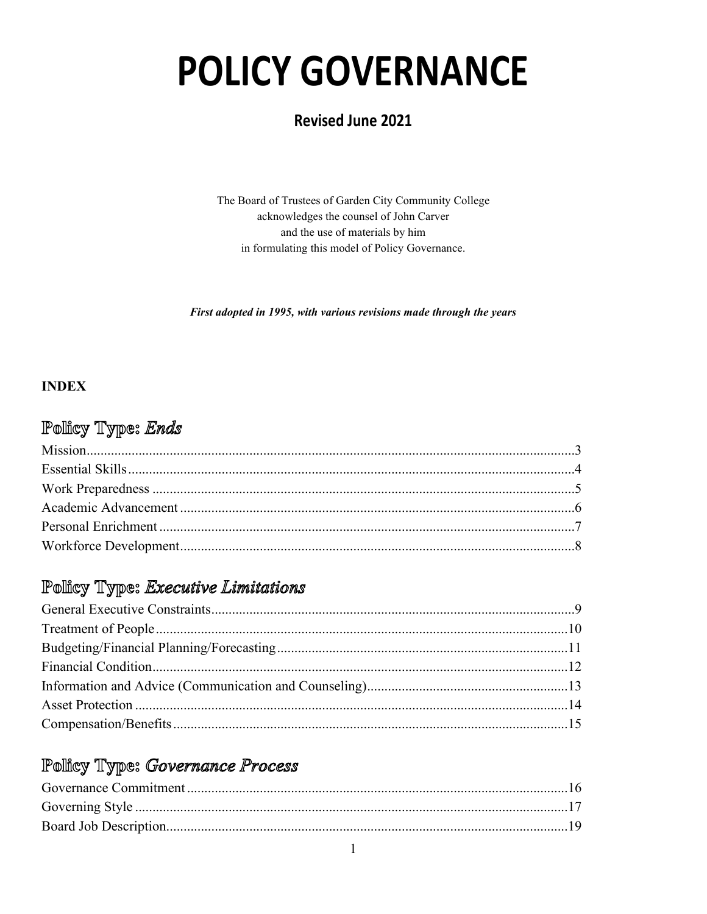# **POLICY GOVERNANCE**

# **Revised June 2021**

The Board of Trustees of Garden City Community College acknowledges the counsel of John Carver and the use of materials by him in formulating this model of Policy Governance.

First adopted in 1995, with various revisions made through the years

## **INDEX**

# Policy Type: Ends

# Pollicy Type: Executive Limitations

# Pollicy Type: Governance Process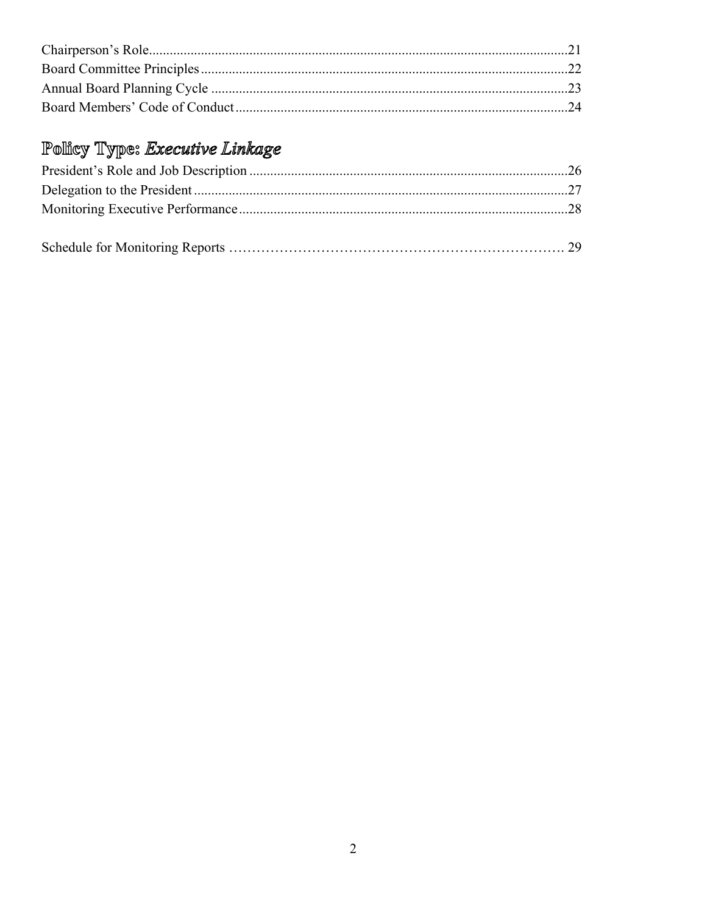# Policy Type: Executive Linkage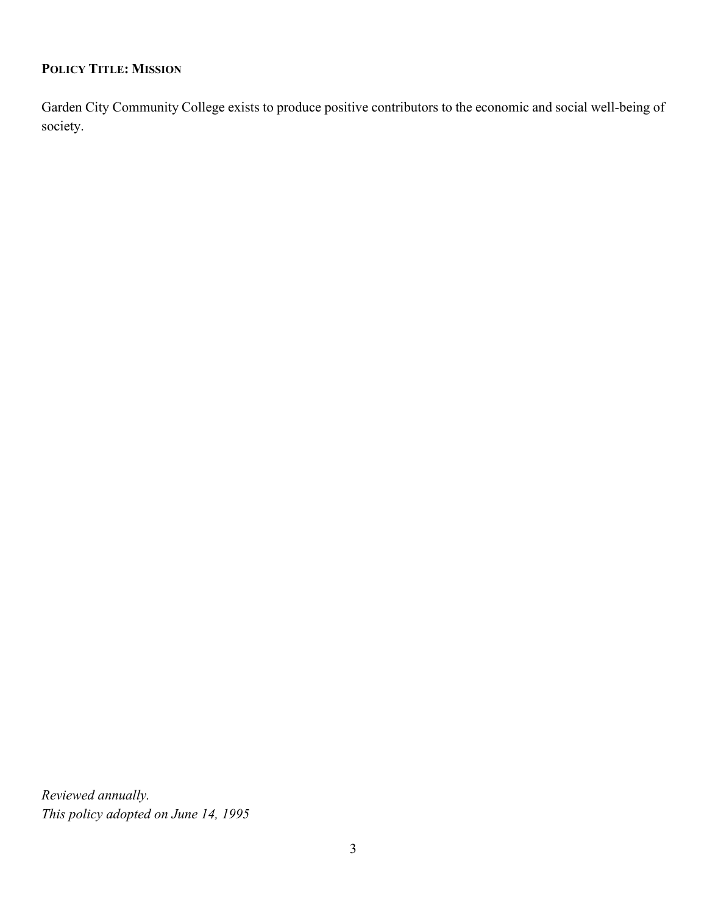## **POLICY TITLE: MISSION**

Garden City Community College exists to produce positive contributors to the economic and social well-being of society.

*Reviewed annually. This policy adopted on June 14, 1995*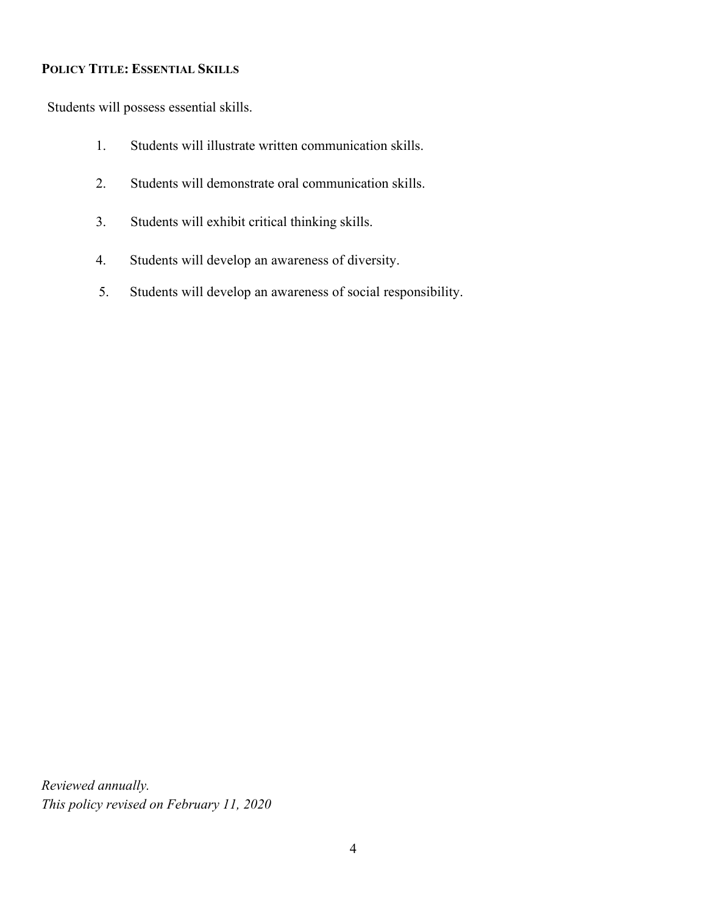#### **POLICY TITLE: ESSENTIAL SKILLS**

Students will possess essential skills.

- 1. Students will illustrate written communication skills.
- 2. Students will demonstrate oral communication skills.
- 3. Students will exhibit critical thinking skills.
- 4. Students will develop an awareness of diversity.
- 5. Students will develop an awareness of social responsibility.

*Reviewed annually. This policy revised on February 11, 2020*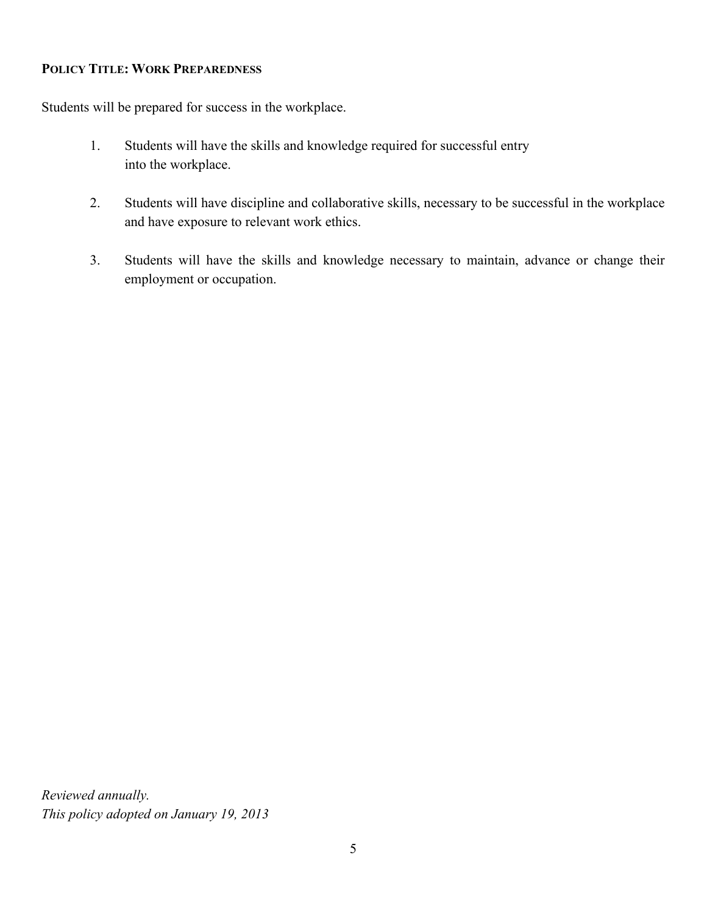#### **POLICY TITLE: WORK PREPAREDNESS**

Students will be prepared for success in the workplace.

- 1. Students will have the skills and knowledge required for successful entry into the workplace.
- 2. Students will have discipline and collaborative skills, necessary to be successful in the workplace and have exposure to relevant work ethics.
- 3. Students will have the skills and knowledge necessary to maintain, advance or change their employment or occupation.

*Reviewed annually. This policy adopted on January 19, 2013*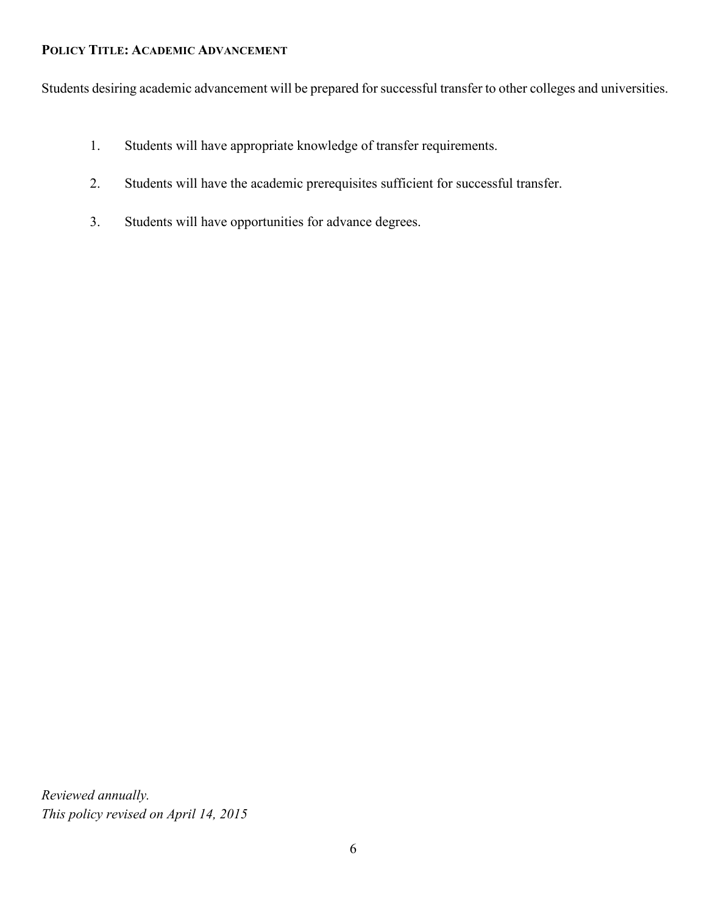#### **POLICY TITLE: ACADEMIC ADVANCEMENT**

Students desiring academic advancement will be prepared for successful transfer to other colleges and universities.

- 1. Students will have appropriate knowledge of transfer requirements.
- 2. Students will have the academic prerequisites sufficient for successful transfer.
- 3. Students will have opportunities for advance degrees.

*Reviewed annually. This policy revised on April 14, 2015*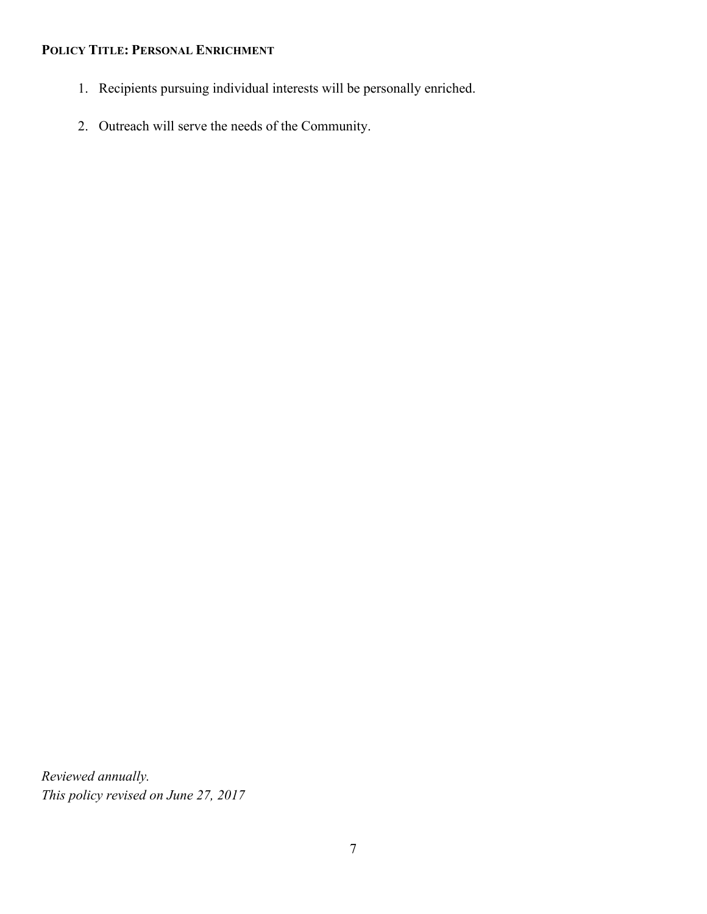## **POLICY TITLE: PERSONAL ENRICHMENT**

- 1. Recipients pursuing individual interests will be personally enriched.
- 2. Outreach will serve the needs of the Community.

*Reviewed annually. This policy revised on June 27, 2017*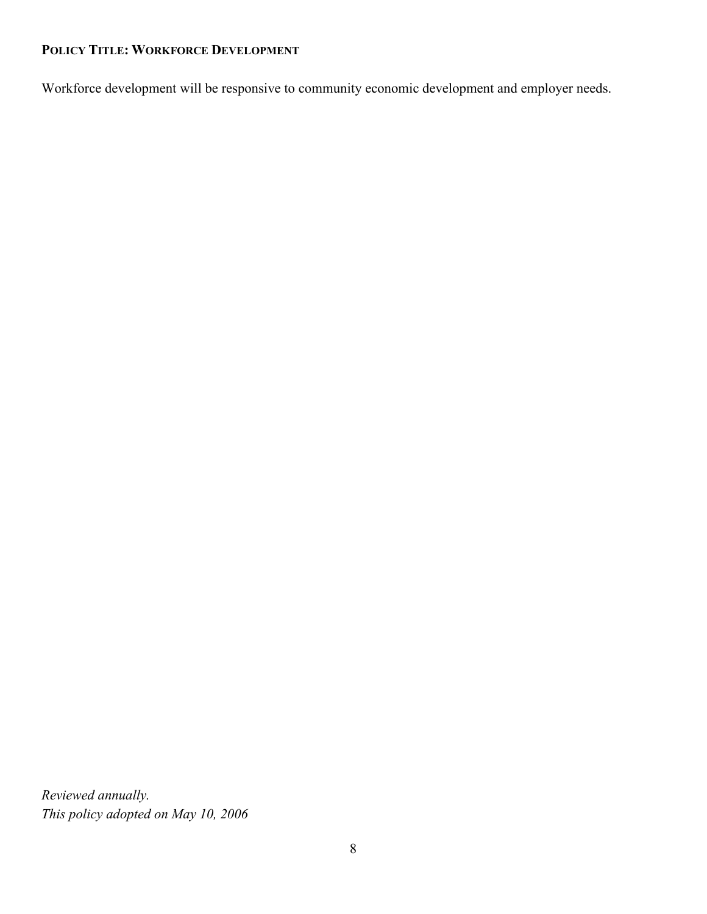## **POLICY TITLE: WORKFORCE DEVELOPMENT**

Workforce development will be responsive to community economic development and employer needs.

*Reviewed annually. This policy adopted on May 10, 2006*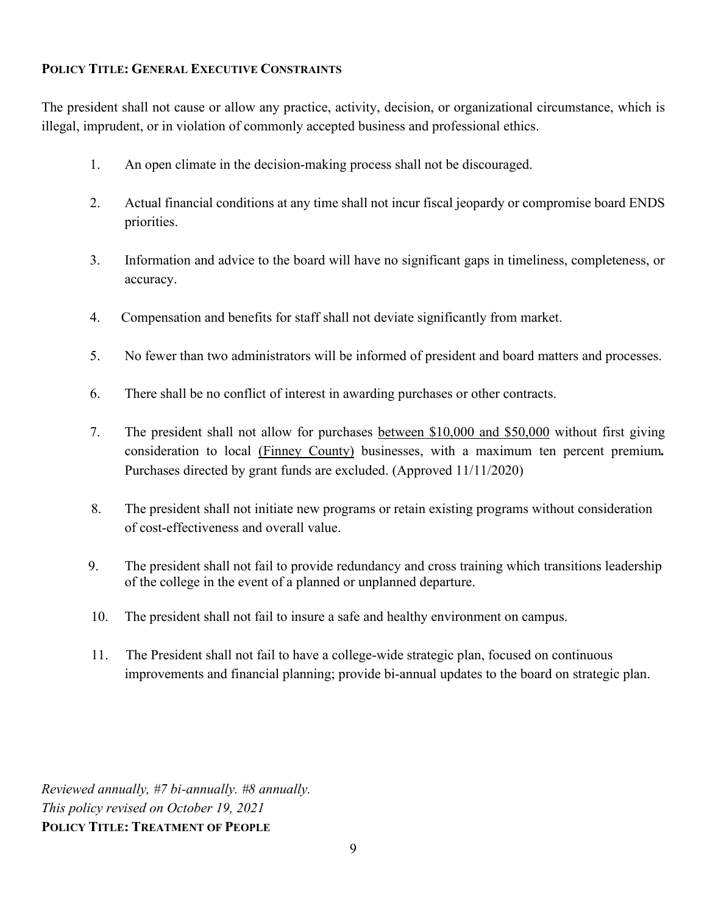#### **POLICY TITLE: GENERAL EXECUTIVE CONSTRAINTS**

The president shall not cause or allow any practice, activity, decision, or organizational circumstance, which is illegal, imprudent, or in violation of commonly accepted business and professional ethics.

- 1. An open climate in the decision-making process shall not be discouraged.
- 2. Actual financial conditions at any time shall not incur fiscal jeopardy or compromise board ENDS priorities.
- 3. Information and advice to the board will have no significant gaps in timeliness, completeness, or accuracy.
- 4. Compensation and benefits for staff shall not deviate significantly from market.
- 5. No fewer than two administrators will be informed of president and board matters and processes.
- 6. There shall be no conflict of interest in awarding purchases or other contracts.
- 7. The president shall not allow for purchases between \$10,000 and \$50,000 without first giving consideration to local (Finney County) businesses, with a maximum ten percent premium*.*  Purchases directed by grant funds are excluded. (Approved 11/11/2020)
- 8. The president shall not initiate new programs or retain existing programs without consideration of cost-effectiveness and overall value.
- 9. The president shall not fail to provide redundancy and cross training which transitions leadership of the college in the event of a planned or unplanned departure.
- 10. The president shall not fail to insure a safe and healthy environment on campus.
- 11. The President shall not fail to have a college-wide strategic plan, focused on continuous improvements and financial planning; provide bi-annual updates to the board on strategic plan.

*Reviewed annually, #7 bi-annually. #8 annually. This policy revised on October 19, 2021* **POLICY TITLE: TREATMENT OF PEOPLE**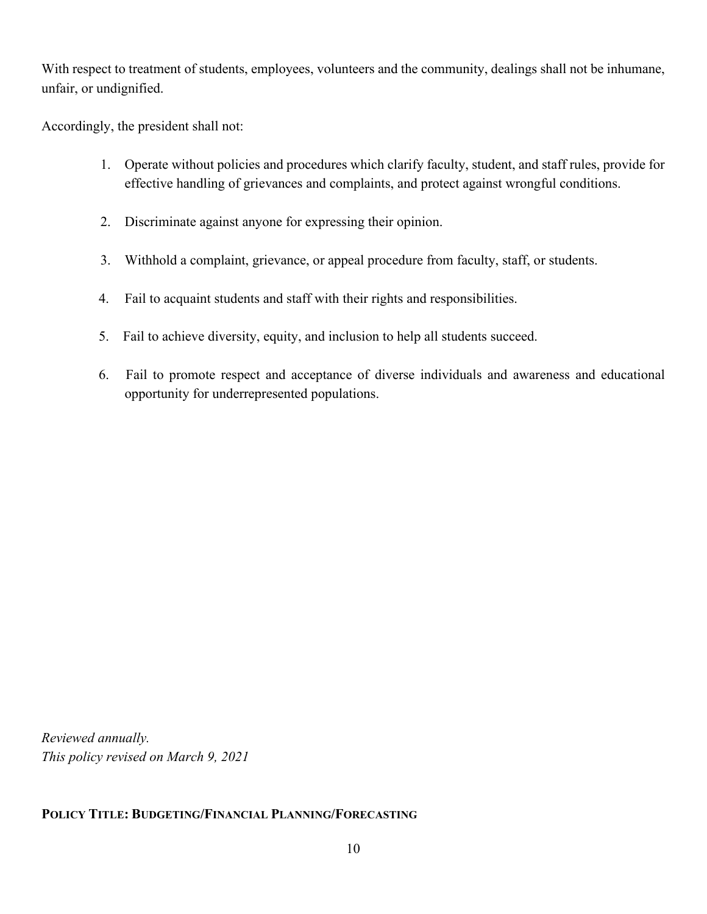With respect to treatment of students, employees, volunteers and the community, dealings shall not be inhumane, unfair, or undignified.

Accordingly, the president shall not:

- 1. Operate without policies and procedures which clarify faculty, student, and staff rules, provide for effective handling of grievances and complaints, and protect against wrongful conditions.
- 2. Discriminate against anyone for expressing their opinion.
- 3. Withhold a complaint, grievance, or appeal procedure from faculty, staff, or students.
- 4. Fail to acquaint students and staff with their rights and responsibilities.
- 5. Fail to achieve diversity, equity, and inclusion to help all students succeed.
- 6. Fail to promote respect and acceptance of diverse individuals and awareness and educational opportunity for underrepresented populations.

*Reviewed annually. This policy revised on March 9, 2021*

#### **POLICY TITLE: BUDGETING/FINANCIAL PLANNING/FORECASTING**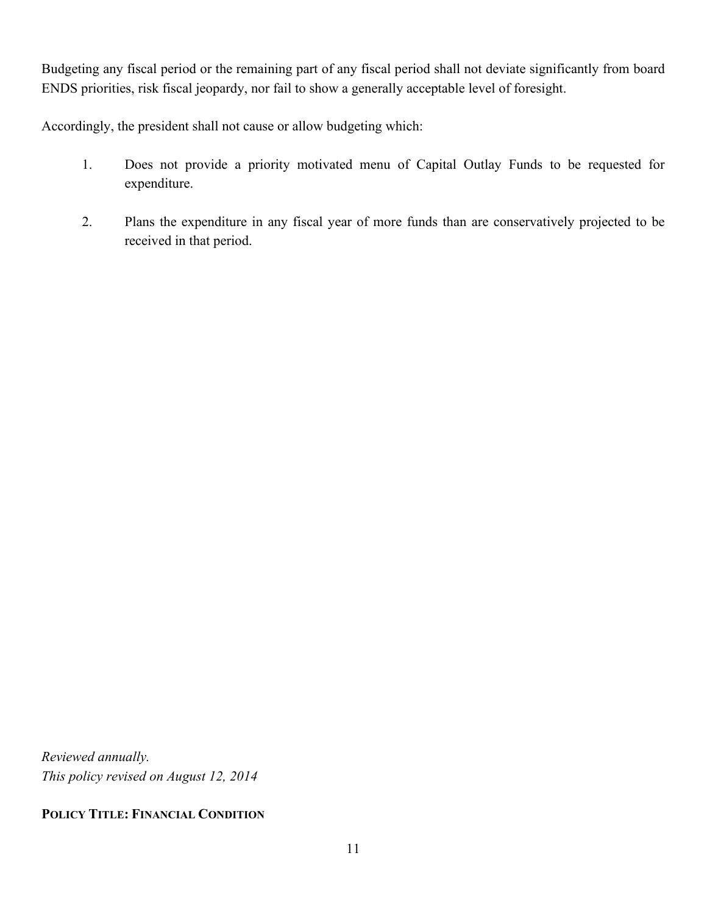Budgeting any fiscal period or the remaining part of any fiscal period shall not deviate significantly from board ENDS priorities, risk fiscal jeopardy, nor fail to show a generally acceptable level of foresight.

Accordingly, the president shall not cause or allow budgeting which:

- 1. Does not provide a priority motivated menu of Capital Outlay Funds to be requested for expenditure.
- 2. Plans the expenditure in any fiscal year of more funds than are conservatively projected to be received in that period.

*Reviewed annually. This policy revised on August 12, 2014*

**POLICY TITLE: FINANCIAL CONDITION**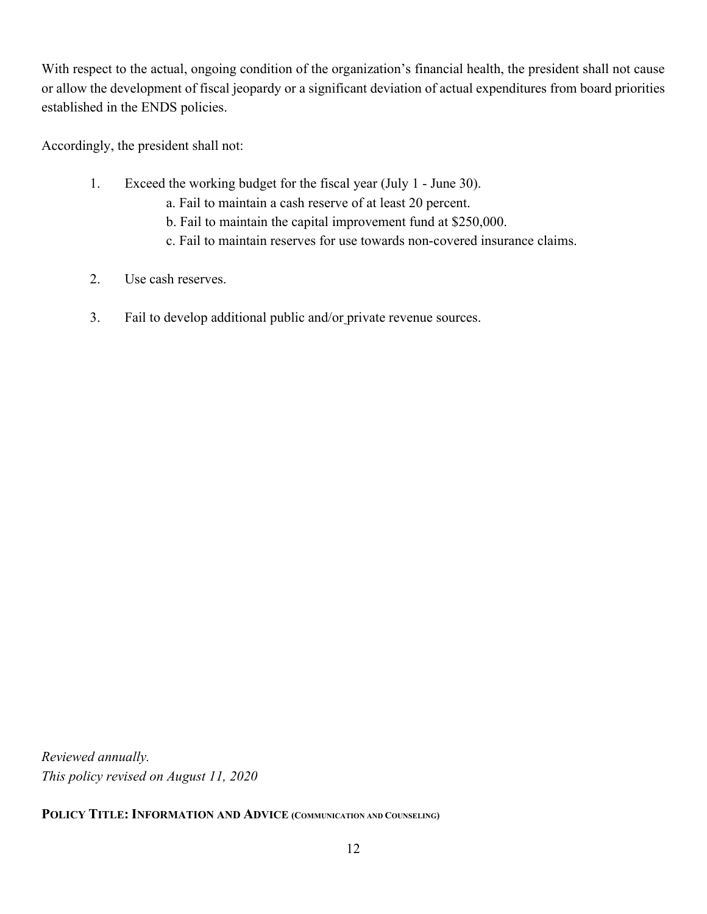With respect to the actual, ongoing condition of the organization's financial health, the president shall not cause or allow the development of fiscal jeopardy or a significant deviation of actual expenditures from board priorities established in the ENDS policies.

Accordingly, the president shall not:

- 1. Exceed the working budget for the fiscal year (July 1 June 30).
	- a. Fail to maintain a cash reserve of at least 20 percent.
	- b. Fail to maintain the capital improvement fund at \$250,000.
	- c. Fail to maintain reserves for use towards non-covered insurance claims.
- 2. Use cash reserves.
- 3. Fail to develop additional public and/or private revenue sources.

*Reviewed annually. This policy revised on August 11, 2020* 

**POLICY TITLE: INFORMATION AND ADVICE (COMMUNICATION AND COUNSELING)**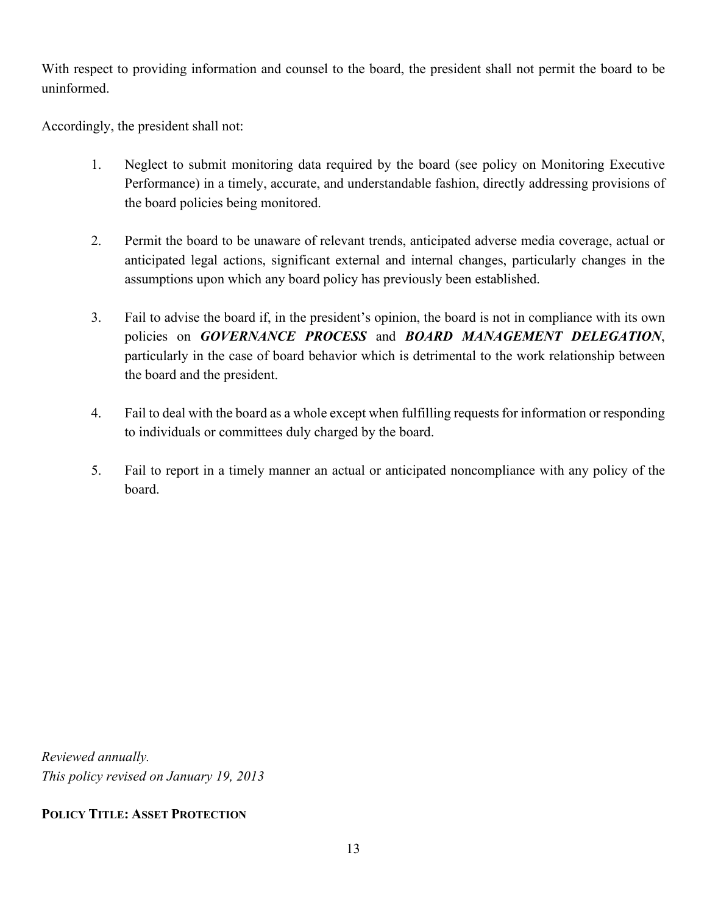With respect to providing information and counsel to the board, the president shall not permit the board to be uninformed.

Accordingly, the president shall not:

- 1. Neglect to submit monitoring data required by the board (see policy on Monitoring Executive Performance) in a timely, accurate, and understandable fashion, directly addressing provisions of the board policies being monitored.
- 2. Permit the board to be unaware of relevant trends, anticipated adverse media coverage, actual or anticipated legal actions, significant external and internal changes, particularly changes in the assumptions upon which any board policy has previously been established.
- 3. Fail to advise the board if, in the president's opinion, the board is not in compliance with its own policies on *GOVERNANCE PROCESS* and *BOARD MANAGEMENT DELEGATION*, particularly in the case of board behavior which is detrimental to the work relationship between the board and the president.
- 4. Fail to deal with the board as a whole except when fulfilling requests for information or responding to individuals or committees duly charged by the board.
- 5. Fail to report in a timely manner an actual or anticipated noncompliance with any policy of the board.

*Reviewed annually. This policy revised on January 19, 2013*

#### **POLICY TITLE: ASSET PROTECTION**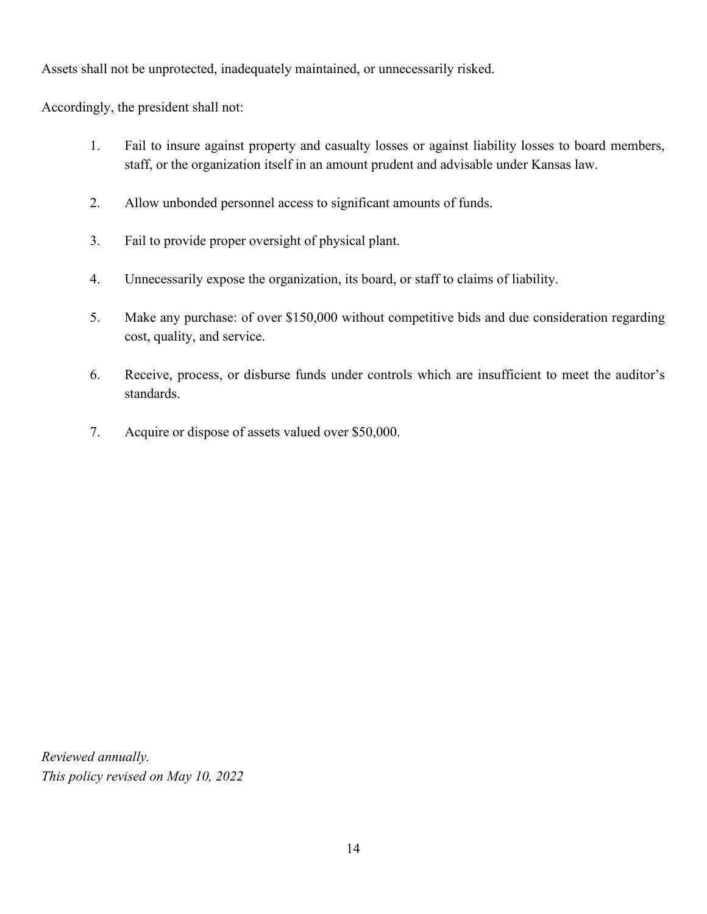Assets shall not be unprotected, inadequately maintained, or unnecessarily risked.

Accordingly, the president shall not:

- 1. Fail to insure against property and casualty losses or against liability losses to board members, staff, or the organization itself in an amount prudent and advisable under Kansas law.
- 2. Allow unbonded personnel access to significant amounts of funds.
- 3. Fail to provide proper oversight of physical plant.
- 4. Unnecessarily expose the organization, its board, or staff to claims of liability.
- 5. Make any purchase: of over \$150,000 without competitive bids and due consideration regarding cost, quality, and service.
- 6. Receive, process, or disburse funds under controls which are insufficient to meet the auditor's standards.
- 7. Acquire or dispose of assets valued over \$50,000.

*Reviewed annually. This policy revised on May 10, 2022*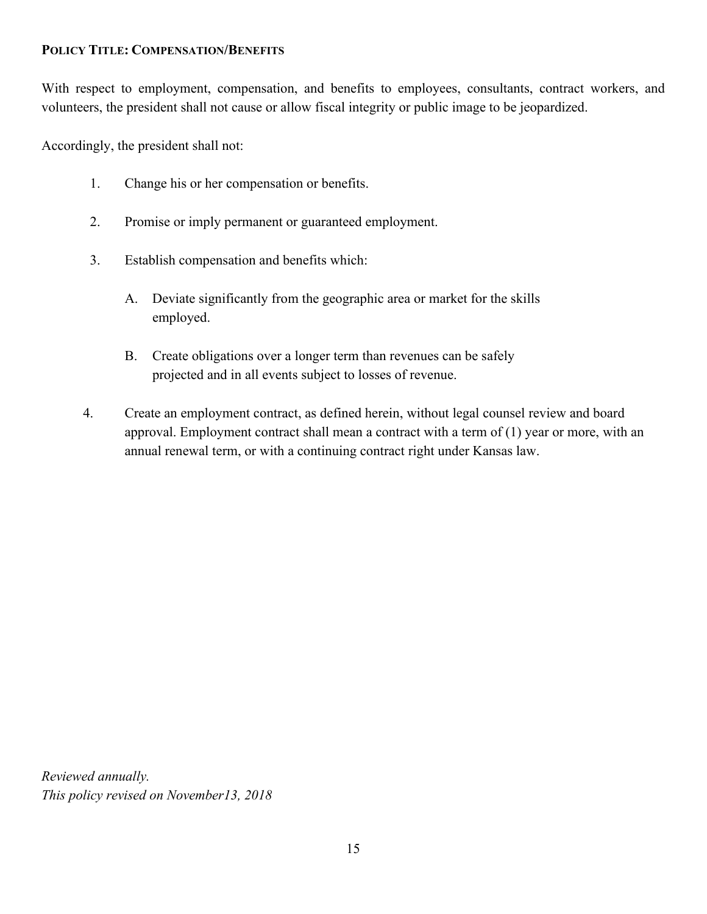#### **POLICY TITLE: COMPENSATION/BENEFITS**

With respect to employment, compensation, and benefits to employees, consultants, contract workers, and volunteers, the president shall not cause or allow fiscal integrity or public image to be jeopardized.

Accordingly, the president shall not:

- 1. Change his or her compensation or benefits.
- 2. Promise or imply permanent or guaranteed employment.
- 3. Establish compensation and benefits which:
	- A. Deviate significantly from the geographic area or market for the skills employed.
	- B. Create obligations over a longer term than revenues can be safely projected and in all events subject to losses of revenue.
- 4. Create an employment contract, as defined herein, without legal counsel review and board approval. Employment contract shall mean a contract with a term of (1) year or more, with an annual renewal term, or with a continuing contract right under Kansas law.

*Reviewed annually. This policy revised on November13, 2018*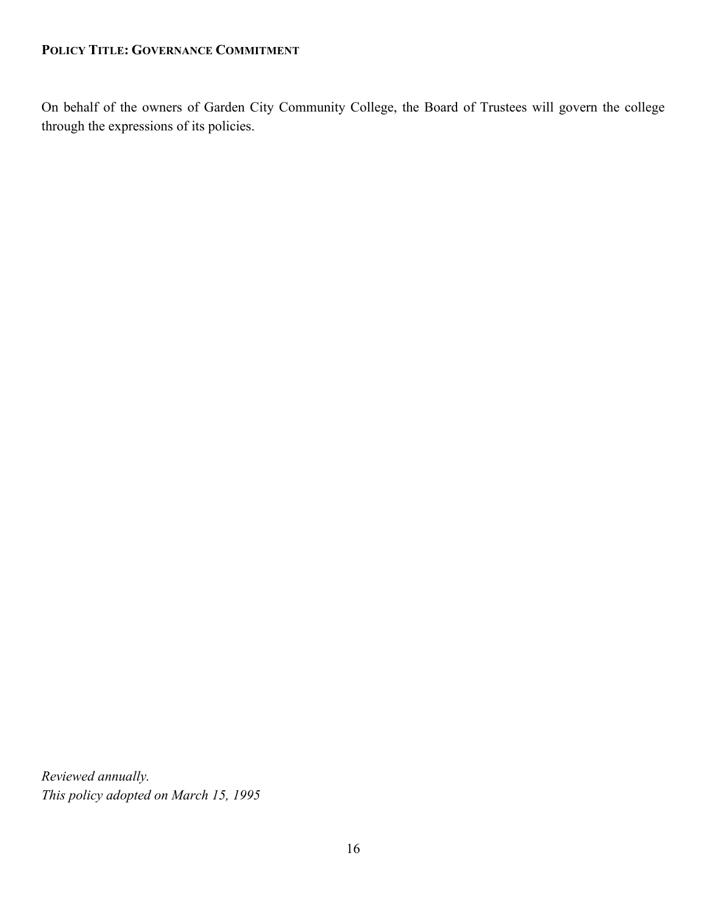#### **POLICY TITLE: GOVERNANCE COMMITMENT**

On behalf of the owners of Garden City Community College, the Board of Trustees will govern the college through the expressions of its policies.

*Reviewed annually. This policy adopted on March 15, 1995*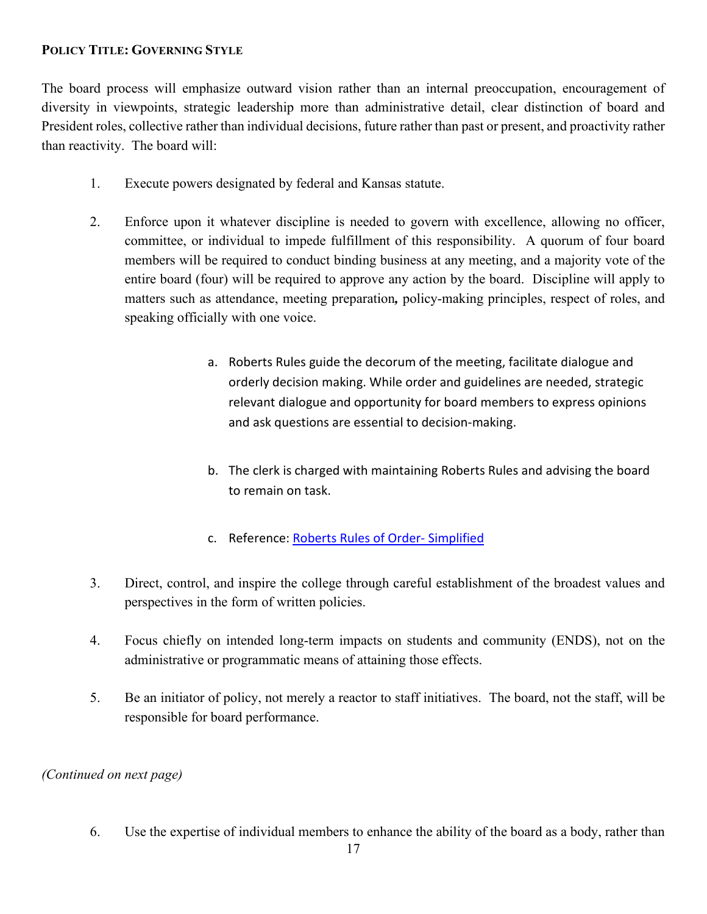#### **POLICY TITLE: GOVERNING STYLE**

The board process will emphasize outward vision rather than an internal preoccupation, encouragement of diversity in viewpoints, strategic leadership more than administrative detail, clear distinction of board and President roles, collective rather than individual decisions, future rather than past or present, and proactivity rather than reactivity. The board will:

- 1. Execute powers designated by federal and Kansas statute.
- 2. Enforce upon it whatever discipline is needed to govern with excellence, allowing no officer, committee, or individual to impede fulfillment of this responsibility. A quorum of four board members will be required to conduct binding business at any meeting, and a majority vote of the entire board (four) will be required to approve any action by the board. Discipline will apply to matters such as attendance, meeting preparation*,* policy‑making principles, respect of roles, and speaking officially with one voice.
	- a. Roberts Rules guide the decorum of the meeting, facilitate dialogue and orderly decision making. While order and guidelines are needed, strategic relevant dialogue and opportunity for board members to express opinions and ask questions are essential to decision-making.
	- b. The clerk is charged with maintaining Roberts Rules and advising the board to remain on task.
	- c. Reference: [Roberts Rules of Order- Simplified](http://archive.theuniversityfaculty.cornell.edu/meetings/RobertsRulesSimplified.pdf)
- 3. Direct, control, and inspire the college through careful establishment of the broadest values and perspectives in the form of written policies.
- 4. Focus chiefly on intended long‑term impacts on students and community (ENDS), not on the administrative or programmatic means of attaining those effects.
- 5. Be an initiator of policy, not merely a reactor to staff initiatives. The board, not the staff, will be responsible for board performance.

#### *(Continued on next page)*

6. Use the expertise of individual members to enhance the ability of the board as a body, rather than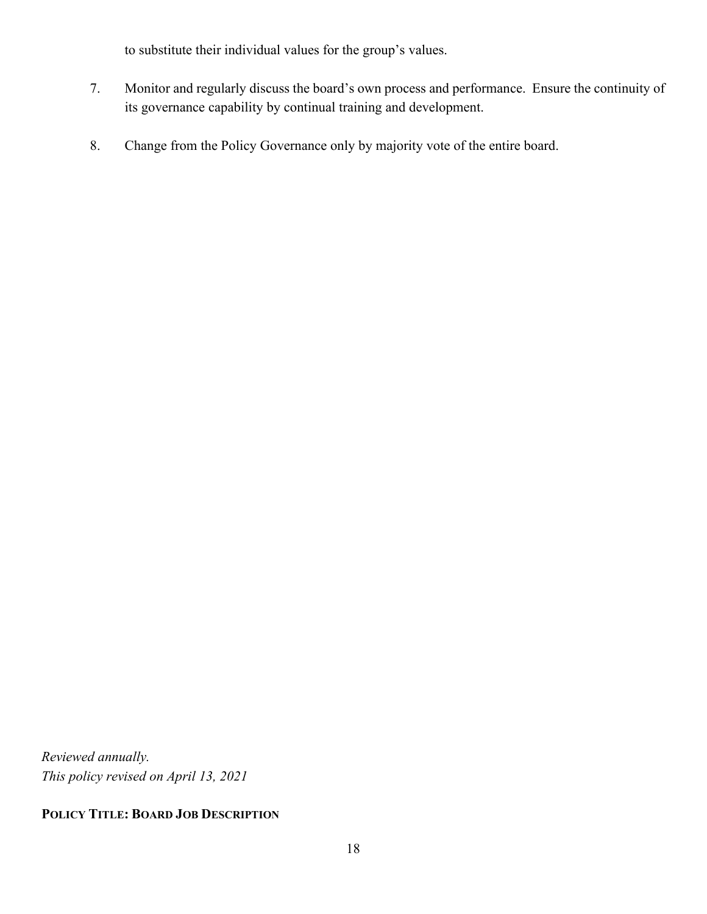to substitute their individual values for the group's values.

- 7. Monitor and regularly discuss the board's own process and performance. Ensure the continuity of its governance capability by continual training and development.
- 8. Change from the Policy Governance only by majority vote of the entire board.

*Reviewed annually. This policy revised on April 13, 2021*

## **POLICY TITLE: BOARD JOB DESCRIPTION**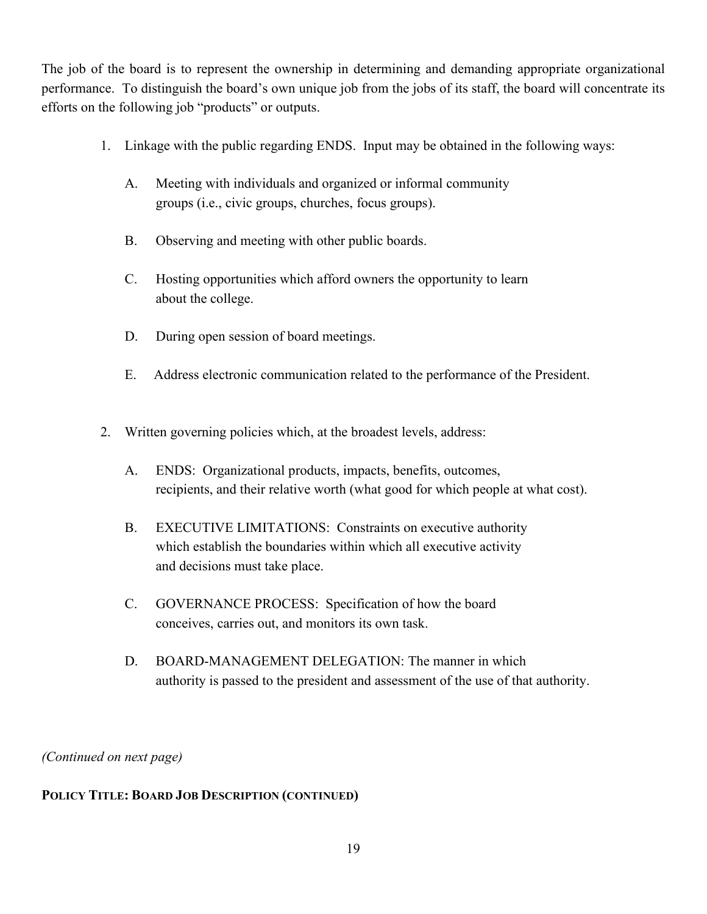The job of the board is to represent the ownership in determining and demanding appropriate organizational performance. To distinguish the board's own unique job from the jobs of its staff, the board will concentrate its efforts on the following job "products" or outputs.

- 1. Linkage with the public regarding ENDS. Input may be obtained in the following ways:
	- A. Meeting with individuals and organized or informal community groups (i.e., civic groups, churches, focus groups).
	- B. Observing and meeting with other public boards.
	- C. Hosting opportunities which afford owners the opportunity to learn about the college.
	- D. During open session of board meetings.
	- E. Address electronic communication related to the performance of the President.
- 2. Written governing policies which, at the broadest levels, address:
	- A. ENDS: Organizational products, impacts, benefits, outcomes, recipients, and their relative worth (what good for which people at what cost).
	- B. EXECUTIVE LIMITATIONS: Constraints on executive authority which establish the boundaries within which all executive activity and decisions must take place.
	- C. GOVERNANCE PROCESS: Specification of how the board conceives, carries out, and monitors its own task.
	- D. BOARD-MANAGEMENT DELEGATION: The manner in which authority is passed to the president and assessment of the use of that authority.

*(Continued on next page)*

#### **POLICY TITLE: BOARD JOB DESCRIPTION (CONTINUED)**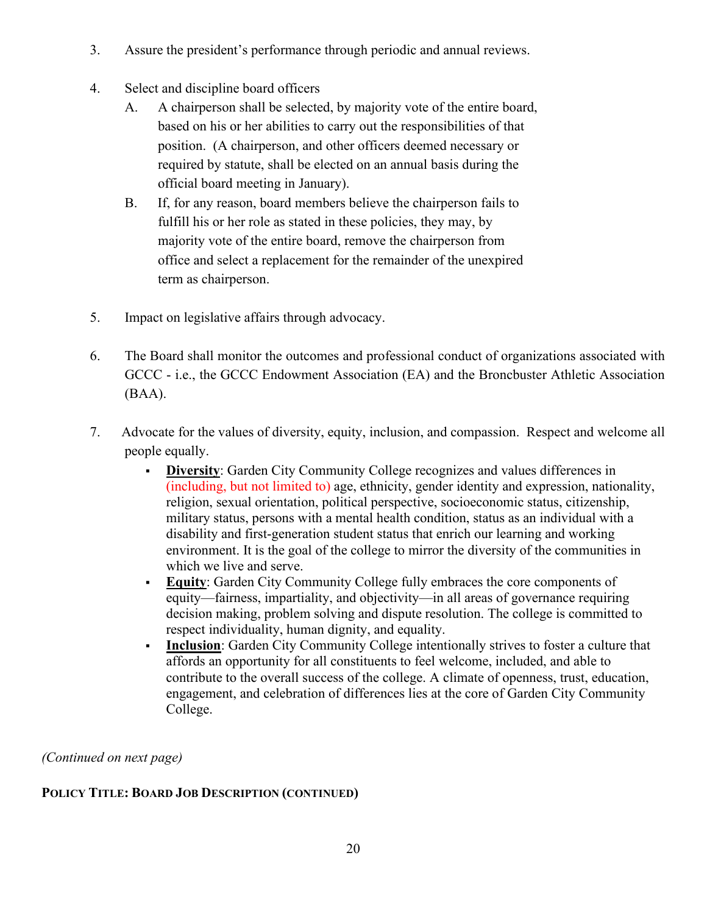- 3. Assure the president's performance through periodic and annual reviews.
- 4. Select and discipline board officers
	- A. A chairperson shall be selected, by majority vote of the entire board, based on his or her abilities to carry out the responsibilities of that position. (A chairperson, and other officers deemed necessary or required by statute, shall be elected on an annual basis during the official board meeting in January).
	- B. If, for any reason, board members believe the chairperson fails to fulfill his or her role as stated in these policies, they may, by majority vote of the entire board, remove the chairperson from office and select a replacement for the remainder of the unexpired term as chairperson.
- 5. Impact on legislative affairs through advocacy.
- 6. The Board shall monitor the outcomes and professional conduct of organizations associated with GCCC - i.e., the GCCC Endowment Association (EA) and the Broncbuster Athletic Association (BAA).
- 7. Advocate for the values of diversity, equity, inclusion, and compassion. Respect and welcome all people equally.
	- **Diversity**: Garden City Community College recognizes and values differences in (including, but not limited to) age, ethnicity, gender identity and expression, nationality, religion, sexual orientation, political perspective, socioeconomic status, citizenship, military status, persons with a mental health condition, status as an individual with a disability and first-generation student status that enrich our learning and working environment. It is the goal of the college to mirror the diversity of the communities in which we live and serve.
	- **Equity**: Garden City Community College fully embraces the core components of equity—fairness, impartiality, and objectivity—in all areas of governance requiring decision making, problem solving and dispute resolution. The college is committed to respect individuality, human dignity, and equality.
	- **Inclusion**: Garden City Community College intentionally strives to foster a culture that affords an opportunity for all constituents to feel welcome, included, and able to contribute to the overall success of the college. A climate of openness, trust, education, engagement, and celebration of differences lies at the core of Garden City Community College.

*(Continued on next page)* 

#### **POLICY TITLE: BOARD JOB DESCRIPTION (CONTINUED)**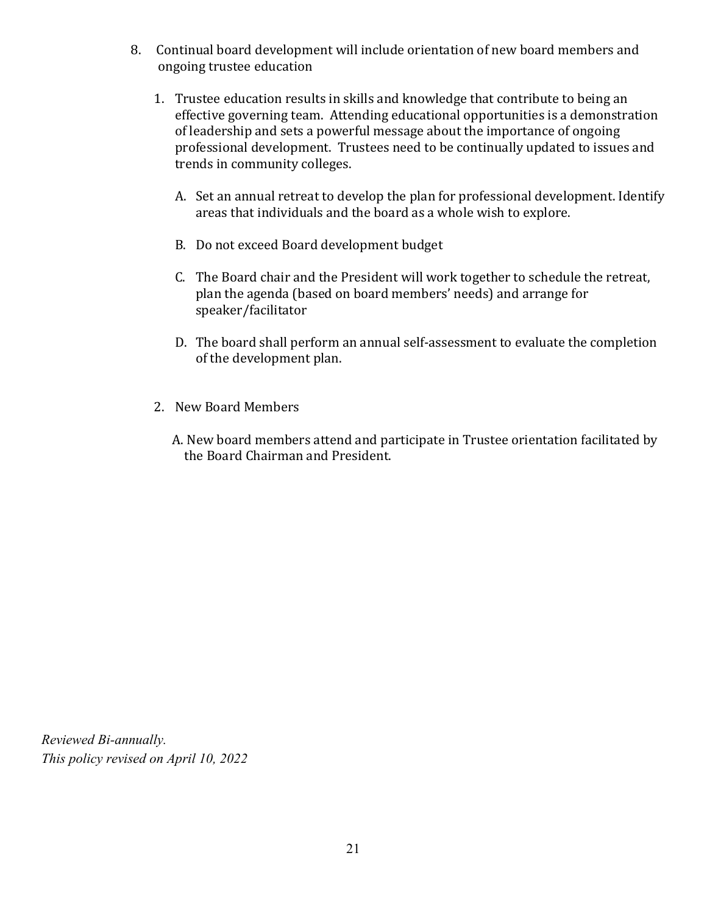- 8. Continual board development will include orientation of new board members and ongoing trustee education
	- 1. Trustee education results in skills and knowledge that contribute to being an effective governing team. Attending educational opportunities is a demonstration of leadership and sets a powerful message about the importance of ongoing professional development. Trustees need to be continually updated to issues and trends in community colleges.
		- A. Set an annual retreat to develop the plan for professional development. Identify areas that individuals and the board as a whole wish to explore.
		- B. Do not exceed Board development budget
		- C. The Board chair and the President will work together to schedule the retreat, plan the agenda (based on board members' needs) and arrange for speaker/facilitator
		- D. The board shall perform an annual self-assessment to evaluate the completion of the development plan.
	- 2. New Board Members
		- A. New board members attend and participate in Trustee orientation facilitated by the Board Chairman and President.

*Reviewed Bi-annually. This policy revised on April 10, 2022*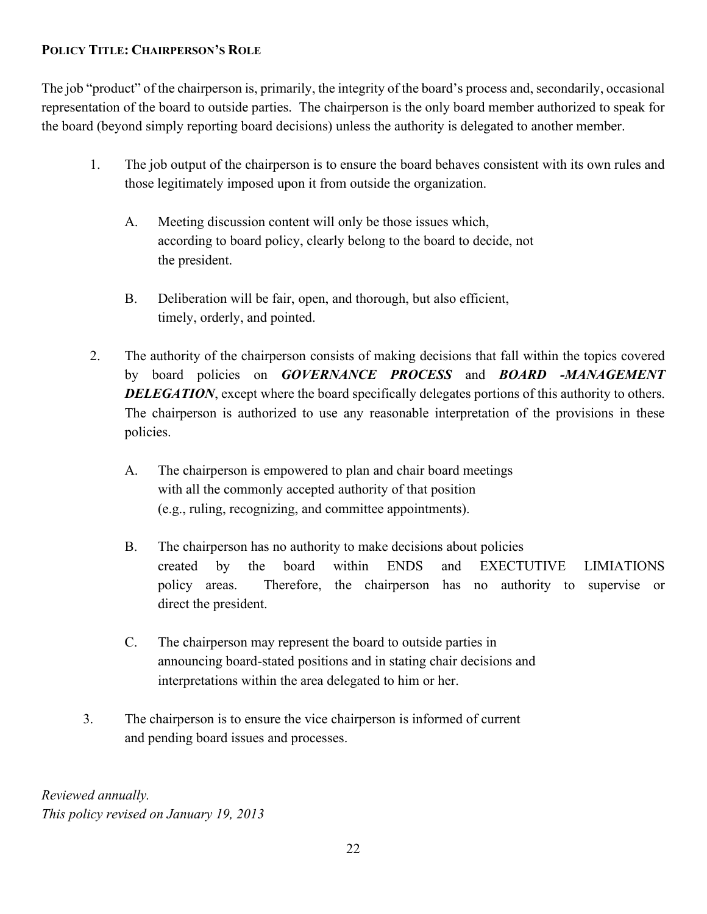#### **POLICY TITLE: CHAIRPERSON'S ROLE**

The job "product" of the chairperson is, primarily, the integrity of the board's process and, secondarily, occasional representation of the board to outside parties. The chairperson is the only board member authorized to speak for the board (beyond simply reporting board decisions) unless the authority is delegated to another member.

- 1. The job output of the chairperson is to ensure the board behaves consistent with its own rules and those legitimately imposed upon it from outside the organization.
	- A. Meeting discussion content will only be those issues which, according to board policy, clearly belong to the board to decide, not the president.
	- B. Deliberation will be fair, open, and thorough, but also efficient, timely, orderly, and pointed.
- 2. The authority of the chairperson consists of making decisions that fall within the topics covered by board policies on *GOVERNANCE PROCESS* and *BOARD -MANAGEMENT*  **DELEGATION**, except where the board specifically delegates portions of this authority to others. The chairperson is authorized to use any reasonable interpretation of the provisions in these policies.
	- A. The chairperson is empowered to plan and chair board meetings with all the commonly accepted authority of that position (e.g., ruling, recognizing, and committee appointments).
	- B. The chairperson has no authority to make decisions about policies created by the board within ENDS and EXECTUTIVE LIMIATIONS policy areas. Therefore, the chairperson has no authority to supervise or direct the president.
	- C. The chairperson may represent the board to outside parties in announcing board‑stated positions and in stating chair decisions and interpretations within the area delegated to him or her.
- 3. The chairperson is to ensure the vice chairperson is informed of current and pending board issues and processes.

*Reviewed annually. This policy revised on January 19, 2013*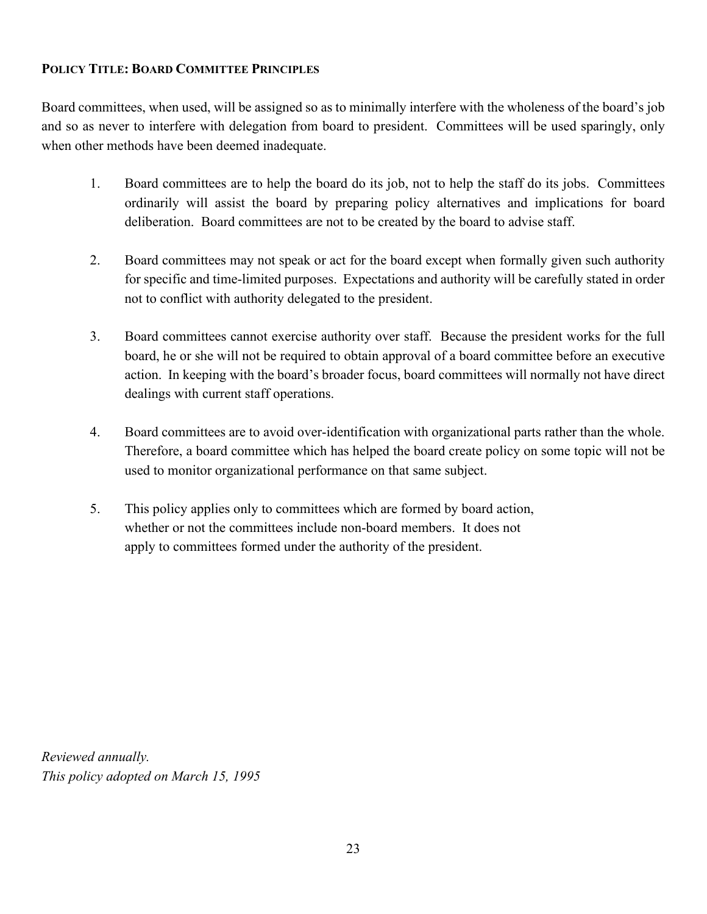#### **POLICY TITLE: BOARD COMMITTEE PRINCIPLES**

Board committees, when used, will be assigned so as to minimally interfere with the wholeness of the board's job and so as never to interfere with delegation from board to president. Committees will be used sparingly, only when other methods have been deemed inadequate.

- 1. Board committees are to help the board do its job, not to help the staff do its jobs. Committees ordinarily will assist the board by preparing policy alternatives and implications for board deliberation. Board committees are not to be created by the board to advise staff.
- 2. Board committees may not speak or act for the board except when formally given such authority for specific and time-limited purposes. Expectations and authority will be carefully stated in order not to conflict with authority delegated to the president.
- 3. Board committees cannot exercise authority over staff. Because the president works for the full board, he or she will not be required to obtain approval of a board committee before an executive action. In keeping with the board's broader focus, board committees will normally not have direct dealings with current staff operations.
- 4. Board committees are to avoid over‑identification with organizational parts rather than the whole. Therefore, a board committee which has helped the board create policy on some topic will not be used to monitor organizational performance on that same subject.
- 5. This policy applies only to committees which are formed by board action, whether or not the committees include non-board members. It does not apply to committees formed under the authority of the president.

*Reviewed annually. This policy adopted on March 15, 1995*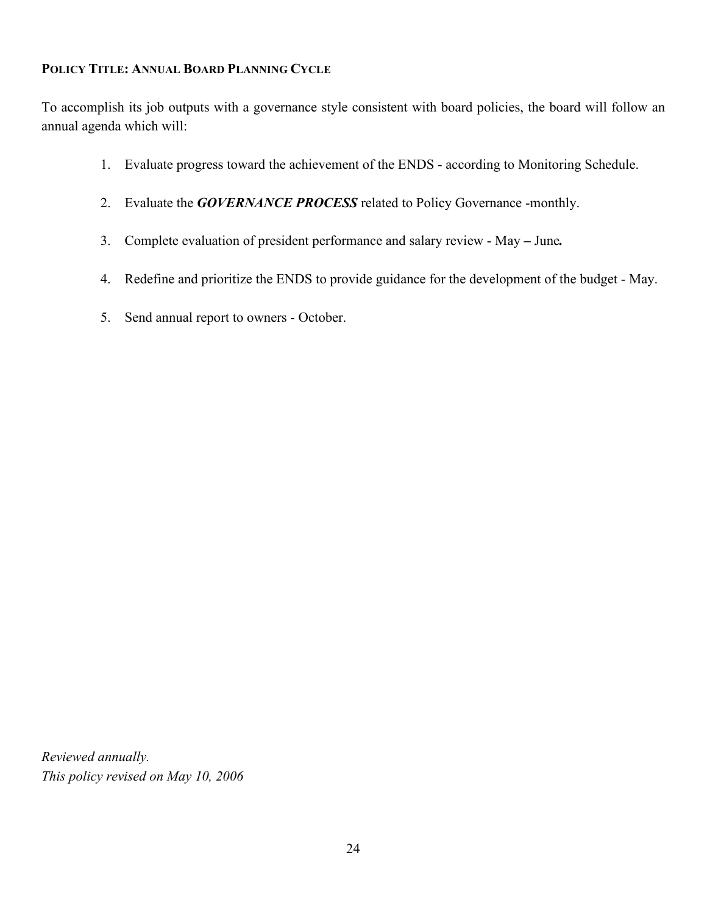#### **POLICY TITLE: ANNUAL BOARD PLANNING CYCLE**

To accomplish its job outputs with a governance style consistent with board policies, the board will follow an annual agenda which will:

- 1. Evaluate progress toward the achievement of the ENDS ‑ according to Monitoring Schedule.
- 2. Evaluate the *GOVERNANCE PROCESS* related to Policy Governance -monthly.
- 3. Complete evaluation of president performance and salary review May *–* June*.*
- 4. Redefine and prioritize the ENDS to provide guidance for the development of the budget May.
- 5. Send annual report to owners October.

*Reviewed annually. This policy revised on May 10, 2006*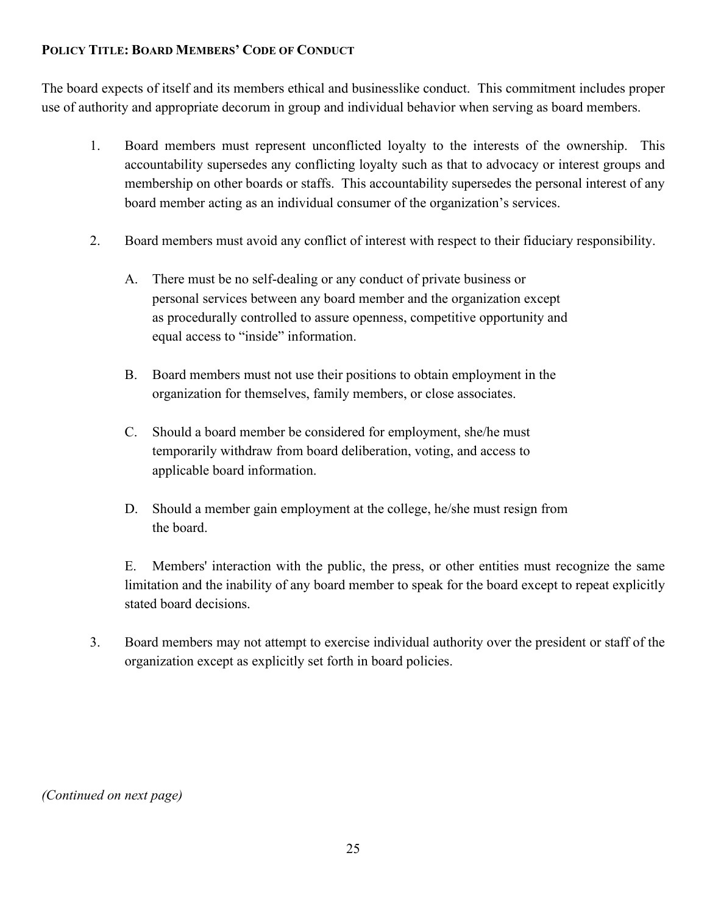### **POLICY TITLE: BOARD MEMBERS' CODE OF CONDUCT**

The board expects of itself and its members ethical and businesslike conduct. This commitment includes proper use of authority and appropriate decorum in group and individual behavior when serving as board members.

- 1. Board members must represent unconflicted loyalty to the interests of the ownership. This accountability supersedes any conflicting loyalty such as that to advocacy or interest groups and membership on other boards or staffs. This accountability supersedes the personal interest of any board member acting as an individual consumer of the organization's services.
- 2. Board members must avoid any conflict of interest with respect to their fiduciary responsibility.
	- A. There must be no self-dealing or any conduct of private business or personal services between any board member and the organization except as procedurally controlled to assure openness, competitive opportunity and equal access to "inside" information.
	- B. Board members must not use their positions to obtain employment in the organization for themselves, family members, or close associates.
	- C. Should a board member be considered for employment, she/he must temporarily withdraw from board deliberation, voting, and access to applicable board information.
	- D. Should a member gain employment at the college, he/she must resign from the board.

E. Members' interaction with the public, the press, or other entities must recognize the same limitation and the inability of any board member to speak for the board except to repeat explicitly stated board decisions.

3. Board members may not attempt to exercise individual authority over the president or staff of the organization except as explicitly set forth in board policies.

*(Continued on next page)*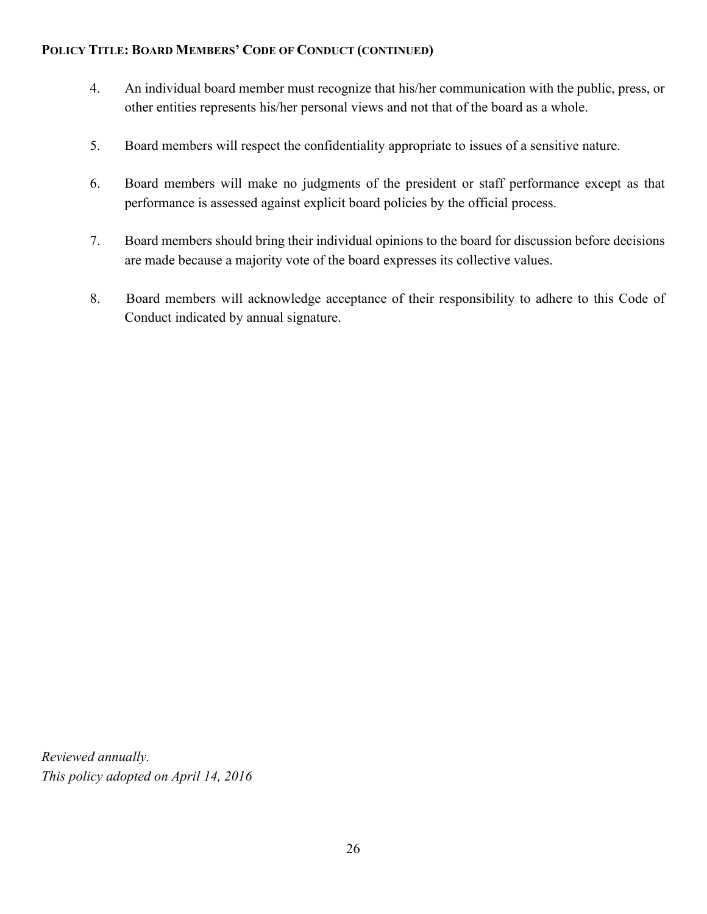#### **POLICY TITLE: BOARD MEMBERS' CODE OF CONDUCT (CONTINUED)**

- 4. An individual board member must recognize that his/her communication with the public, press, or other entities represents his/her personal views and not that of the board as a whole.
- 5. Board members will respect the confidentiality appropriate to issues of a sensitive nature.
- 6. Board members will make no judgments of the president or staff performance except as that performance is assessed against explicit board policies by the official process.
- 7. Board members should bring their individual opinions to the board for discussion before decisions are made because a majority vote of the board expresses its collective values.
- 8. Board members will acknowledge acceptance of their responsibility to adhere to this Code of Conduct indicated by annual signature.

*Reviewed annually. This policy adopted on April 14, 2016*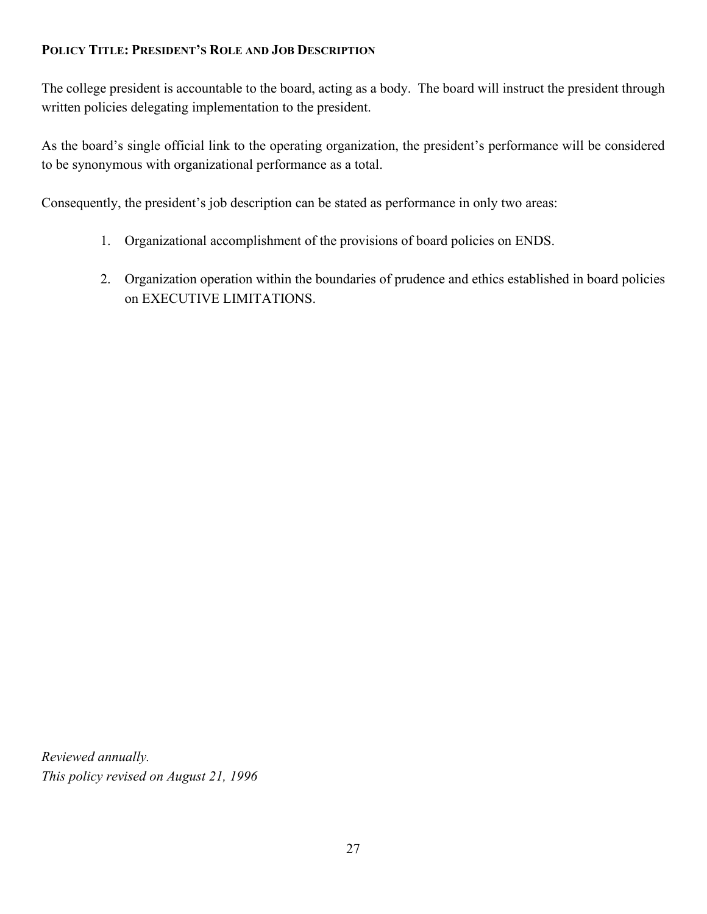## **POLICY TITLE: PRESIDENT'S ROLE AND JOB DESCRIPTION**

The college president is accountable to the board, acting as a body. The board will instruct the president through written policies delegating implementation to the president.

As the board's single official link to the operating organization, the president's performance will be considered to be synonymous with organizational performance as a total.

Consequently, the president's job description can be stated as performance in only two areas:

- 1. Organizational accomplishment of the provisions of board policies on ENDS.
- 2. Organization operation within the boundaries of prudence and ethics established in board policies on EXECUTIVE LIMITATIONS.

*Reviewed annually. This policy revised on August 21, 1996*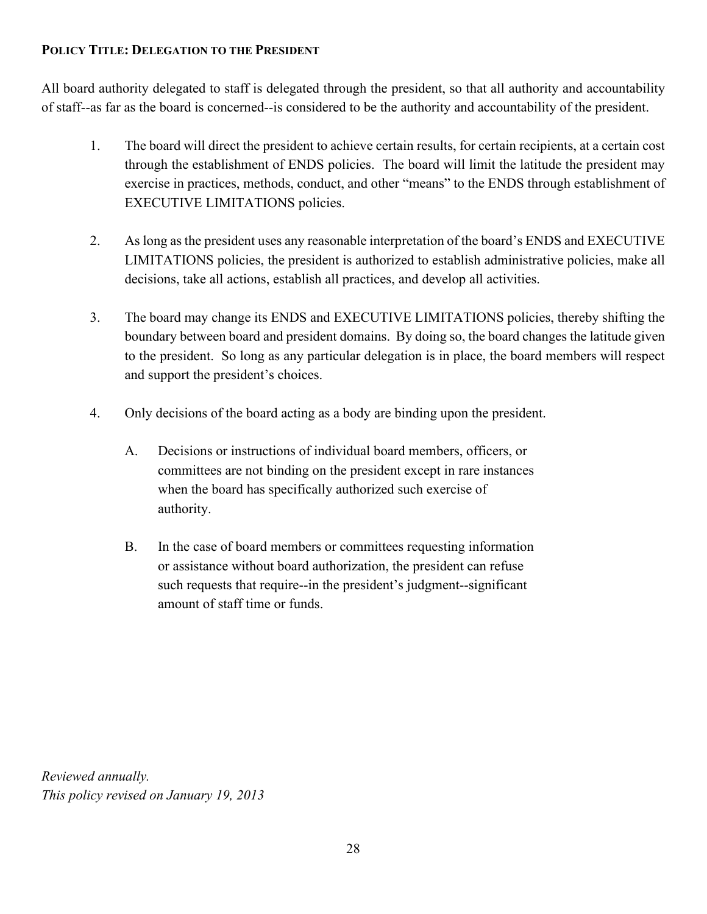#### **POLICY TITLE: DELEGATION TO THE PRESIDENT**

All board authority delegated to staff is delegated through the president, so that all authority and accountability of staff-‑as far as the board is concerned-‑is considered to be the authority and accountability of the president.

- 1. The board will direct the president to achieve certain results, for certain recipients, at a certain cost through the establishment of ENDS policies. The board will limit the latitude the president may exercise in practices, methods, conduct, and other "means" to the ENDS through establishment of EXECUTIVE LIMITATIONS policies.
- 2. As long as the president uses any reasonable interpretation of the board's ENDS and EXECUTIVE LIMITATIONS policies, the president is authorized to establish administrative policies, make all decisions, take all actions, establish all practices, and develop all activities.
- 3. The board may change its ENDS and EXECUTIVE LIMITATIONS policies, thereby shifting the boundary between board and president domains. By doing so, the board changes the latitude given to the president. So long as any particular delegation is in place, the board members will respect and support the president's choices.
- 4. Only decisions of the board acting as a body are binding upon the president.
	- A. Decisions or instructions of individual board members, officers, or committees are not binding on the president except in rare instances when the board has specifically authorized such exercise of authority.
	- B. In the case of board members or committees requesting information or assistance without board authorization, the president can refuse such requests that require--in the president's judgment--significant amount of staff time or funds.

*Reviewed annually. This policy revised on January 19, 2013*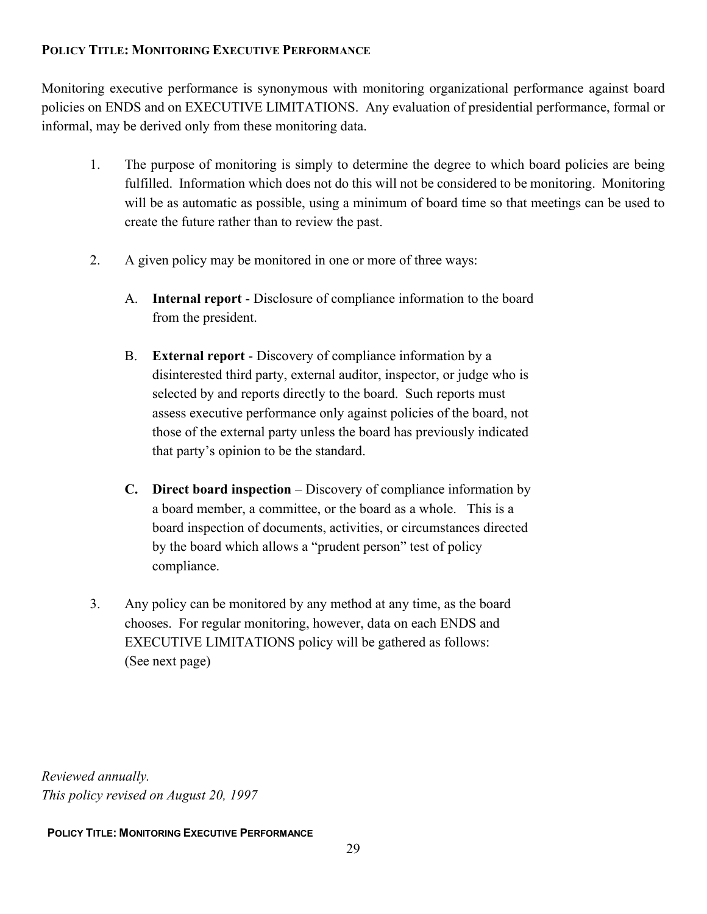### **POLICY TITLE: MONITORING EXECUTIVE PERFORMANCE**

Monitoring executive performance is synonymous with monitoring organizational performance against board policies on ENDS and on EXECUTIVE LIMITATIONS. Any evaluation of presidential performance, formal or informal, may be derived only from these monitoring data.

- 1. The purpose of monitoring is simply to determine the degree to which board policies are being fulfilled. Information which does not do this will not be considered to be monitoring. Monitoring will be as automatic as possible, using a minimum of board time so that meetings can be used to create the future rather than to review the past.
- 2. A given policy may be monitored in one or more of three ways:
	- A. **Internal report** ‑ Disclosure of compliance information to the board from the president.
	- B. **External report** ‑ Discovery of compliance information by a disinterested third party, external auditor, inspector, or judge who is selected by and reports directly to the board. Such reports must assess executive performance only against policies of the board, not those of the external party unless the board has previously indicated that party's opinion to be the standard.
	- **C. Direct board inspection** Discovery of compliance information by a board member, a committee, or the board as a whole. This is a board inspection of documents, activities, or circumstances directed by the board which allows a "prudent person" test of policy compliance.
- 3. Any policy can be monitored by any method at any time, as the board chooses. For regular monitoring, however, data on each ENDS and EXECUTIVE LIMITATIONS policy will be gathered as follows: (See next page)

*Reviewed annually. This policy revised on August 20, 1997*

#### **POLICY TITLE: MONITORING EXECUTIVE PERFORMANCE**